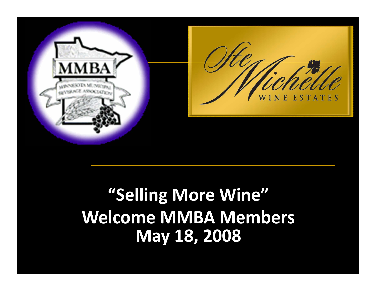

### **"Selling More Wine" Welcome MMBA Members May 18, 2008**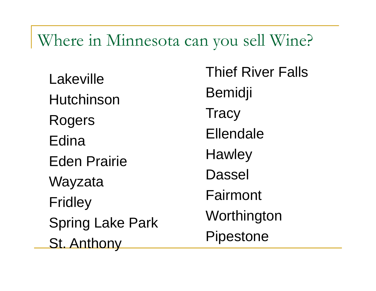#### Where in Minnesota can you sell Wine?

LakevilleHutchinsonRogers EdinaEden PrairieWayzata Fridley Spring Lake Park St. Anthony

Thief River FallsBemidji **Tracy** Ellendale**Hawley** Dassel Fairmont **Worthington** Pipestone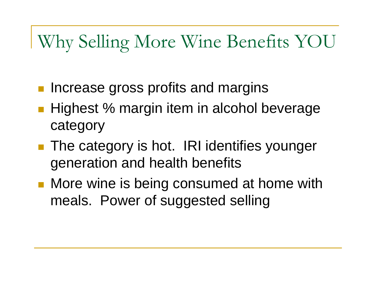## Why Selling More Wine Benefits YOU

- Increase gross profits and margins
- Highest % margin item in alcohol beverage category
- **The category is hot. IRI identifies younger** generation and health benefits
- **Nore wine is being consumed at home with** meals. Power of suggested selling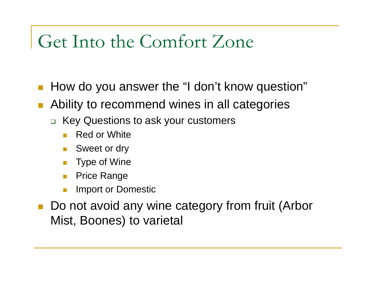# Get Into the Comfort Zone

- $\mathcal{L}_{\mathcal{A}}$ How do you answer the "I don't know question"
- $\mathcal{L}_{\mathcal{A}}$  Ability to recommend wines in all categories
	- Key Questions to ask your customers
		- **The State** Red or White
		- $\mathcal{O}(\mathcal{O}_\mathcal{O})$ Sweet or dry
		- Type of Wine
		- Price Range
		- F. Import or Domestic
- Do not avoid any wine category from fruit (Arbor Mist, Boones) to varietal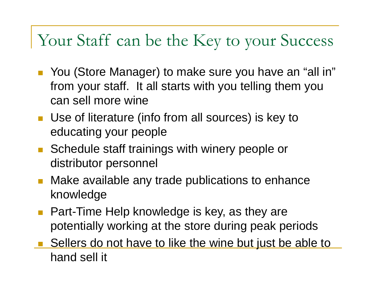### Your Staff can be the Key to your Success

- You (Store Manager) to make sure you have an "all in" from your staff. It all starts with you telling them you can sell more wine
- Use of literature (info from all sources) is key to educating your people
- Schedule staff trainings with winery people or distributor personnel
- $\mathcal{L}(\mathcal{A})$  Make available any trade publications to enhance knowledge
- Part-Time Help knowledge is key, as they are potentially working at the store during peak periods
- E Sellers do not have to like the wine but just be able to hand sell it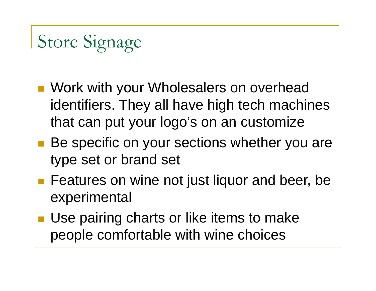# Store Signage

- **Nork with your Wholesalers on overhead** identifiers. They all have high tech machines that can put your logo's on an customize
- Be specific on your sections whether you are type set or brand set
- **Features on wine not just liquor and beer, be** experimental
- **Use pairing charts or like items to make** people comfortable with wine choices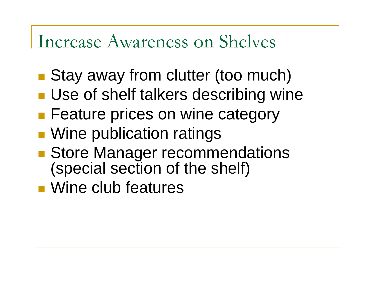### Increase Awareness on Shelves

- Stay away from clutter (too much)
- **Use of shelf talkers describing wine**
- **Feature prices on wine category**
- **Service Service Nine publication ratings**
- **Store Manager recommendations** (special section of the shelf)
- Wine club features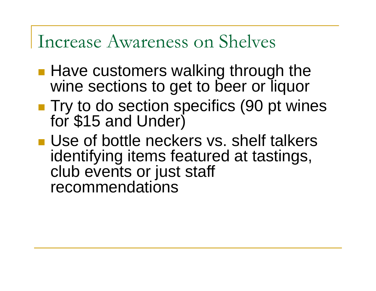### Increase Awareness on Shelves

- **Have customers walking through the** wine sections to get to beer or liquor
- ■ Try to do section specifics (90 pt wines for \$15 and Under)
- **Use of bottle neckers vs. shelf talkers** identifying items featured at tastings, club events or just staff recommendations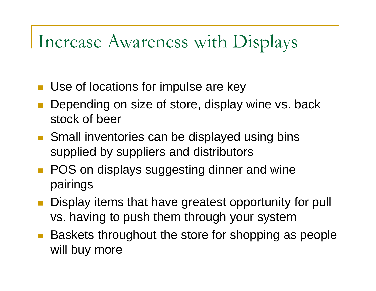## Increase Awareness with Displays

- **Use of locations for impulse are key**
- $\mathbb{R}^n$  Depending on size of store, display wine vs. back stock of beer
- Small inventories can be displayed using bins supplied by suppliers and distributors
- **POS** on displays suggesting dinner and wine pairings
- **Display items that have greatest opportunity for pull** vs. having to push them through your system
- $\mathbb{R}^n$  Baskets throughout the store for shopping as people will buy more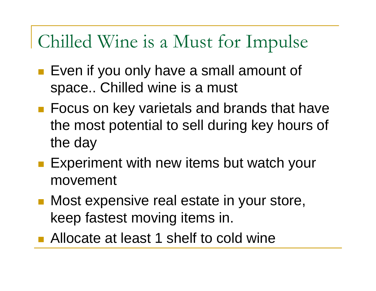# Chilled Wine is a Must for Impulse

- Even if you only have a small amount of space.. Chilled wine is a must
- Focus on key varietals and brands that have the most potential to sell during key hours of the day
- **Experiment with new items but watch your** movement
- **Nost expensive real estate in your store,** keep fastest moving items in.
- Allocate at least 1 shelf to cold wine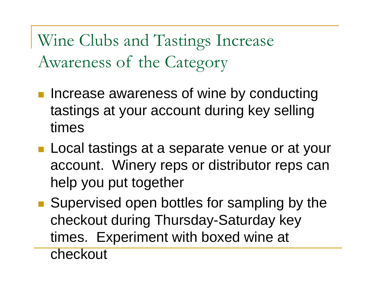Wine Clubs and Tastings Increase Awareness of the Category

- **Increase awareness of wine by conducting** tastings at your account during key selling times
- **Local tastings at a separate venue or at your** account. Winery reps or distributor reps can help you put together
- Supervised open bottles for sampling by the checkout during Thursday-Saturday key times. Experiment with boxed wine at

checkout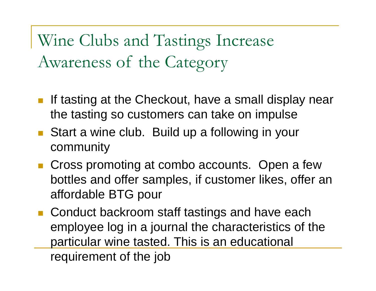Wine Clubs and Tastings Increase Awareness of the Category

- If tasting at the Checkout, have a small display near the tasting so customers can take on impulse
- Start a wine club. Build up a following in your community
- Cross promoting at combo accounts. Open a few bottles and offer samples, if customer likes, offer an affordable BTG pour
- Conduct backroom staff tastings and have each employee log in a journal the characteristics of the particular wine tasted. This is an educational requirement of the job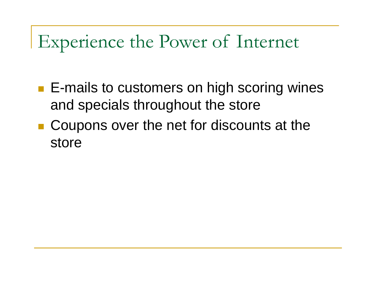## Experience the Power of Internet

- **E-mails to customers on high scoring wines** and specials throughout the store
- Coupons over the net for discounts at the store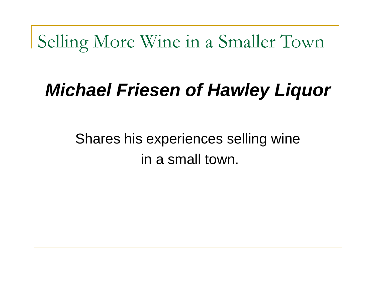Selling More Wine in a Smaller Town

# *Michael Friesen of Hawley Liquor*

Shares his experiences selling wine in a small town.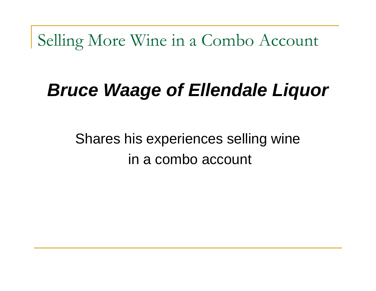Selling More Wine in a Combo Account

# *Bruce Waage of Ellendale Liquor*

### Shares his experiences selling wine in a combo account